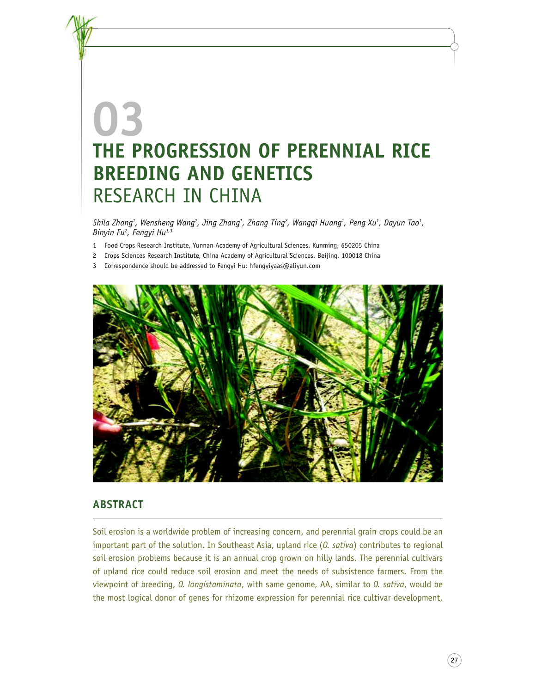# **03 THE PROGRESSION OF PERENNIAL RICE BREEDING AND GENETICS** RESEARCH IN CHINA

*Shila Zhang<sup>1</sup> , Wensheng Wang<sup>2</sup> , Jing Zhang<sup>1</sup> , Zhang Ting<sup>2</sup> , Wangqi Huang<sup>1</sup> , Peng Xu<sup>1</sup> , Dayun Tao<sup>1</sup> , Binyin Fu<sup>2</sup> , Fengyi Hu1,3*

- 1 Food Crops Research Institute, Yunnan Academy of Agricultural Sciences, Kunming, 650205 China
- 2 Crops Sciences Research Institute, China Academy of Agricultural Sciences, Beijing, 100018 China
- 3 Correspondence should be addressed to Fengyi Hu: hfengyiyaas@aliyun.com



# **ABSTRACT**

Soil erosion is a worldwide problem of increasing concern, and perennial grain crops could be an important part of the solution. In Southeast Asia, upland rice (*O. sativa*) contributes to regional soil erosion problems because it is an annual crop grown on hilly lands. The perennial cultivars of upland rice could reduce soil erosion and meet the needs of subsistence farmers. From the viewpoint of breeding, *O. longistaminata*, with same genome, AA, similar to *O. sativa*, would be the most logical donor of genes for rhizome expression for perennial rice cultivar development,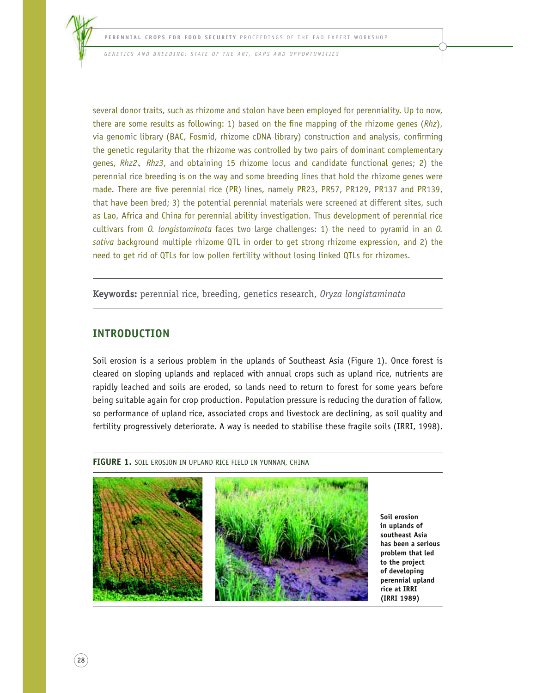*G E N E T I C S A N D B R E E D I N G : S TAT E O F T H E A R T, G A P S A N D O P P O R T U N I T I E S*

several donor traits, such as rhizome and stolon have been employed for perenniality. Up to now, there are some results as following: 1) based on the fine mapping of the rhizome genes (*Rhz*), via genomic library (BAC, Fosmid, rhizome cDNA library) construction and analysis, confirming the genetic regularity that the rhizome was controlled by two pairs of dominant complementary genes, *Rhz2*ࠊ*Rhz3*, and obtaining 15 rhizome locus and candidate functional genes; 2) the perennial rice breeding is on the way and some breeding lines that hold the rhizome genes were made. There are five perennial rice (PR) lines, namely PR23, PR57, PR129, PR137 and PR139, that have been bred; 3) the potential perennial materials were screened at different sites, such as Lao, Africa and China for perennial ability investigation. Thus development of perennial rice cultivars from *O. longistaminata* faces two large challenges: 1) the need to pyramid in an *O. sativa* background multiple rhizome QTL in order to get strong rhizome expression, and 2) the need to get rid of QTLs for low pollen fertility without losing linked QTLs for rhizomes.

**Keywords:** perennial rice, breeding, genetics research, *Oryza longistaminata*

# **INTRODUCTION**

 $28$ 

Soil erosion is a serious problem in the uplands of Southeast Asia (Figure 1). Once forest is cleared on sloping uplands and replaced with annual crops such as upland rice, nutrients are rapidly leached and soils are eroded, so lands need to return to forest for some years before being suitable again for crop production. Population pressure is reducing the duration of fallow, so performance of upland rice, associated crops and livestock are declining, as soil quality and fertility progressively deteriorate. A way is needed to stabilise these fragile soils (IRRI, 1998).

FIGURE 1. SOIL EROSION IN UPLAND RICE FIELD IN YUNNAN, CHINA



**Soil erosion in uplands of southeast Asia has been a serious problem that led to the project of developing perennial upland rice at IRRI (IRRI 1989)**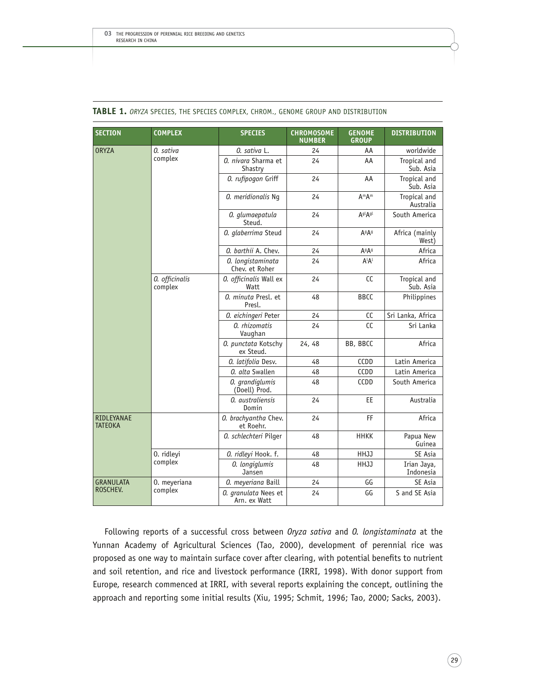| <b>SECTION</b>               | <b>COMPLEX</b>            | <b>SPECIES</b>                       | <b>CHROMOSOME</b><br><b>NUMBER</b> | <b>GENOME</b><br><b>GROUP</b> | <b>DISTRIBUTION</b>       |
|------------------------------|---------------------------|--------------------------------------|------------------------------------|-------------------------------|---------------------------|
| <b>ORYZA</b>                 | 0. sativa<br>complex      | 0. sativa L.                         | 24                                 | AA                            | worldwide                 |
|                              |                           | 0. nivara Sharma et<br>Shastry       | 24                                 | AA                            | Tropical and<br>Sub. Asia |
|                              |                           | 0. rufipogon Griff                   | 24                                 | AA                            | Tropical and<br>Sub. Asia |
|                              |                           | 0. meridionalis Ng                   | 24                                 | A <sup>m</sup> A <sup>m</sup> | Tropical and<br>Australia |
|                              |                           | 0. glumaepatula<br>Steud.            | 24                                 | AglAgl                        | South America             |
|                              |                           | 0. glaberrima Steud                  | 24                                 | A <sup>g</sup> A <sup>g</sup> | Africa (mainly<br>West)   |
|                              |                           | 0. barthii A. Chev.                  | 24                                 | A <sup>g</sup> A <sup>g</sup> | Africa                    |
|                              |                           | 0. longistaminata<br>Chev. et Roher  | 24                                 | $A^{\iota}A^{\iota}$          | Africa                    |
|                              | 0. officinalis<br>complex | 0. officinalis Wall ex<br>Watt       | 24                                 | CC                            | Tropical and<br>Sub. Asia |
|                              |                           | 0. minuta Presl. et<br>Presl.        | 48                                 | <b>BBCC</b>                   | Philippines               |
|                              |                           | 0. eichingeri Peter                  | 24                                 | CC                            | Sri Lanka, Africa         |
|                              |                           | 0. rhizomatis<br>Vaughan             | 24                                 | cc                            | Sri Lanka                 |
|                              |                           | 0. punctata Kotschy<br>ex Steud.     | 24, 48                             | BB, BBCC                      | Africa                    |
|                              |                           | 0. latifolia Desv.                   | 48                                 | CCDD                          | Latin America             |
|                              |                           | 0. alta Swallen                      | 48                                 | CCDD                          | Latin America             |
|                              |                           | 0. grandiglumis<br>(Doell) Prod.     | 48                                 | CCDD                          | South America             |
|                              |                           | 0. australiensis<br>Domin            | 24                                 | EE                            | Australia                 |
| RIDLEYANAE<br><b>TATEOKA</b> |                           | 0. brachyantha Chev.<br>et Roehr.    | 24                                 | FF                            | Africa                    |
|                              |                           | 0. schlechteri Pilger                | 48                                 | <b>HHKK</b>                   | Papua New<br>Guinea       |
|                              | 0. ridleyi<br>complex     | 0. ridleyi Hook. f.                  | 48                                 | HHJJ                          | SE Asia                   |
|                              |                           | 0. longiglumis<br>Jansen             | 48                                 | HHJJ                          | Irian Jaya,<br>Indonesia  |
| <b>GRANULATA</b>             | 0. meyeriana              | 0. meyeriana Baill                   | 24                                 | GG                            | <b>SE Asia</b>            |
| ROSCHEV.                     | complex                   | 0. granulata Nees et<br>Arn. ex Watt | 24                                 | GG                            | S and SE Asia             |

#### **TABLE 1.** *ORYZA* SPECIES, THE SPECIES COMPLEX, CHROM., GENOME GROUP AND DISTRIBUTION

Following reports of a successful cross between *Oryza sativa* and *O. longistaminata* at the Yunnan Academy of Agricultural Sciences (Tao, 2000), development of perennial rice was proposed as one way to maintain surface cover after clearing, with potential benefits to nutrient and soil retention, and rice and livestock performance (IRRI, 1998). With donor support from Europe, research commenced at IRRI, with several reports explaining the concept, outlining the approach and reporting some initial results (Xiu, 1995; Schmit, 1996; Tao, 2000; Sacks, 2003).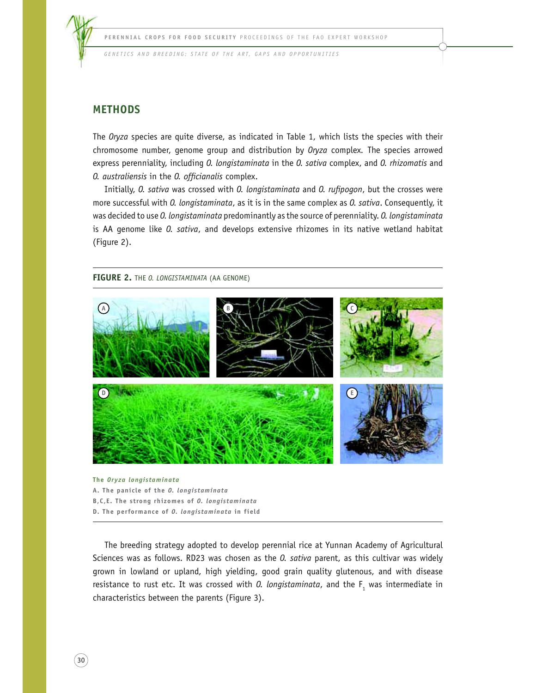

*GENETICS AND BREEDING: STATE OF THE ART, GAPS AND OPPORTUNITIES* 

## **METHODS**

The *Oryza* species are quite diverse, as indicated in Table 1, which lists the species with their chromosome number, genome group and distribution by *Oryza* complex*.* The species arrowed express perenniality, including *O. longistaminata* in the *O. sativa* complex, and *O. rhizomatis* and *O. australiensis* in the *O. officianalis* complex.

Initially, *O. sativa* was crossed with *O. longistaminata* and *O. rufipogon*, but the crosses were more successful with *O. longistaminata*, as it is in the same complex as *O. sativa*. Consequently, it was decided to use *O. longistaminata* predominantly as the source of perenniality. *O. longistaminata* is AA genome like *O. sativa*, and develops extensive rhizomes in its native wetland habitat (Figure 2).

#### **FIGURE 2.** THE *O. LONGISTAMINATA* (AA GENOME)



#### **The** *Oryza longistaminata*

**A. The panicle of the** *O. longistaminata*

- **B,C,E. The strong rhizomes of** *O. longistaminata*
- **D. The performance of** *O. longistaminata* **in field**

The breeding strategy adopted to develop perennial rice at Yunnan Academy of Agricultural Sciences was as follows. RD23 was chosen as the *O. sativa* parent, as this cultivar was widely grown in lowland or upland, high yielding, good grain quality glutenous, and with disease resistance to rust etc. It was crossed with *0. longistaminata*, and the  $F<sub>1</sub>$  was intermediate in characteristics between the parents (Figure 3).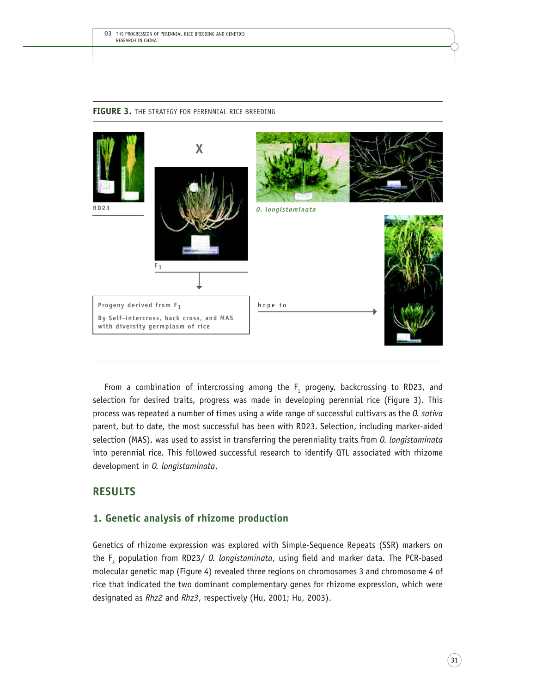

#### **FIGURE 3.** THE STRATEGY FOR PERENNIAL RICE BREEDING

From a combination of intercrossing among the  $F_1$  progeny, backcrossing to RD23, and selection for desired traits, progress was made in developing perennial rice (Figure 3). This process was repeated a number of times using a wide range of successful cultivars as the *O. sativa* parent, but to date, the most successful has been with RD23. Selection, including marker-aided selection (MAS), was used to assist in transferring the perenniality traits from *O. longistaminata* into perennial rice. This followed successful research to identify QTL associated with rhizome development in *O. longistaminata*.

## **RESULTS**

## **1. Genetic analysis of rhizome production**

Genetics of rhizome expression was explored with Simple-Sequence Repeats (SSR) markers on the F<sup>2</sup> population from RD23/ *O. longistaminata*, using field and marker data. The PCR-based molecular genetic map (Figure 4) revealed three regions on chromosomes 3 and chromosome 4 of rice that indicated the two dominant complementary genes for rhizome expression, which were designated as *Rhz2* and *Rhz3*, respectively (Hu, 2001; Hu, 2003).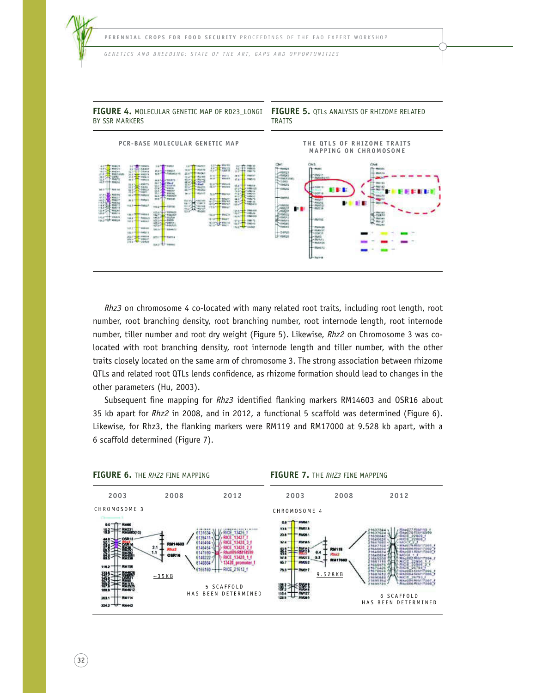

**FIGURE 4.** MOLECULAR GENETIC MAP OF RD23\_LONGI

 $\left(32\right)$ 



*Rhz3* on chromosome 4 co-located with many related root traits, including root length, root number, root branching density, root branching number, root internode length, root internode number, tiller number and root dry weight (Figure 5). Likewise, *Rhz2* on Chromosome 3 was colocated with root branching density, root internode length and tiller number, with the other traits closely located on the same arm of chromosome 3. The strong association between rhizome QTLs and related root QTLs lends confidence, as rhizome formation should lead to changes in the other parameters (Hu, 2003).

Subsequent fine mapping for *Rhz3* identified flanking markers RM14603 and OSR16 about 35 kb apart for *Rhz2* in 2008, and in 2012, a functional 5 scaffold was determined (Figure 6). Likewise, for Rhz3, the flanking markers were RM119 and RM17000 at 9.528 kb apart, with a 6 scaffold determined (Figure 7).

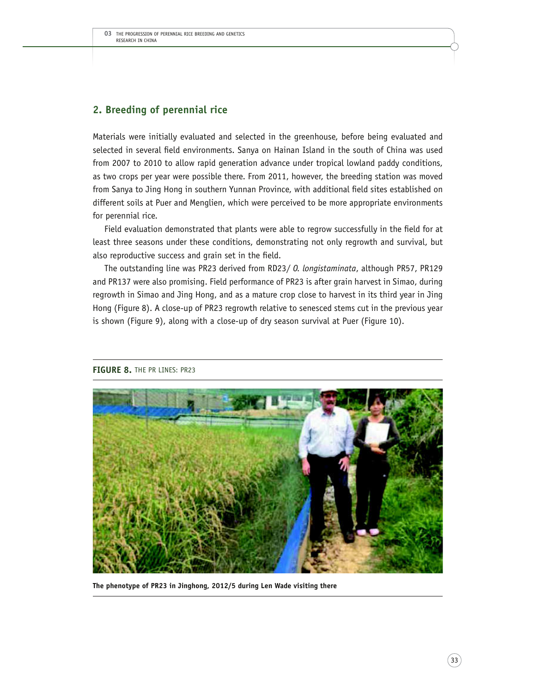# **2. Breeding of perennial rice**

Materials were initially evaluated and selected in the greenhouse, before being evaluated and selected in several field environments. Sanya on Hainan Island in the south of China was used from 2007 to 2010 to allow rapid generation advance under tropical lowland paddy conditions, as two crops per year were possible there. From 2011, however, the breeding station was moved from Sanya to Jing Hong in southern Yunnan Province, with additional field sites established on different soils at Puer and Menglien, which were perceived to be more appropriate environments for perennial rice.

Field evaluation demonstrated that plants were able to regrow successfully in the field for at least three seasons under these conditions, demonstrating not only regrowth and survival, but also reproductive success and grain set in the field.

The outstanding line was PR23 derived from RD23/ *O. longistaminata*, although PR57, PR129 and PR137 were also promising. Field performance of PR23 is after grain harvest in Simao, during regrowth in Simao and Jing Hong, and as a mature crop close to harvest in its third year in Jing Hong (Figure 8). A close-up of PR23 regrowth relative to senesced stems cut in the previous year is shown (Figure 9), along with a close-up of dry season survival at Puer (Figure 10).



**FIGURE 8.** THE PR LINES: PR23

**The phenotype of PR23 in Jinghong, 2012/5 during Len Wade visiting there**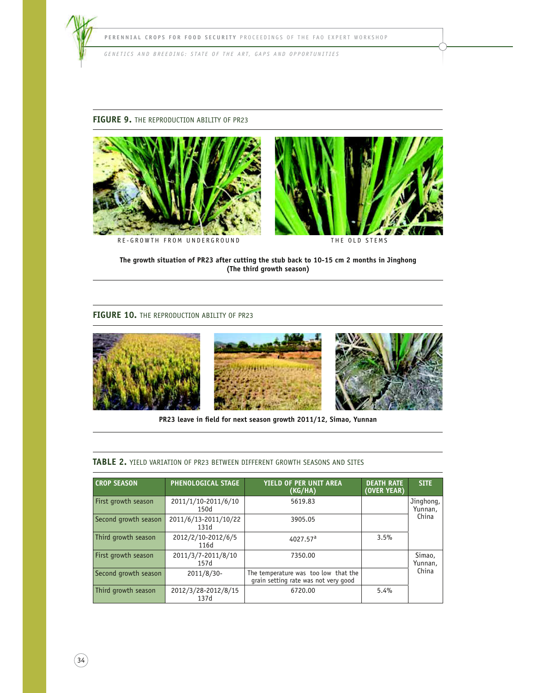

**FIGURE 9.** THE REPRODUCTION ABILITY OF PR23



R E - G R O W T H F R O M U N D E R G R O U N D



THE OLD STEMS

**The growth situation of PR23 after cutting the stub back to 10-15 cm 2 months in Jinghong (The third growth season)**

#### **FIGURE 10.** THE REPRODUCTION ABILITY OF PR23



**PR23 leave in field for next season growth 2011/12, Simao, Yunnan**

#### **TABLE 2.** YIELD VARIATION OF PR23 BETWEEN DIFFERENT GROWTH SEASONS AND SITES

| <b>CROP SEASON</b>   | PHENOLOGICAL STAGE           | <b>YIELD OF PER UNIT AREA</b><br>(KG/HA)                                     | <b>DEATH RATE</b><br>(OVER YEAR) | <b>SITE</b>          |  |
|----------------------|------------------------------|------------------------------------------------------------------------------|----------------------------------|----------------------|--|
| First growth season  | 2011/1/10-2011/6/10<br>150d  | 5619.83                                                                      |                                  | Jinghong,<br>Yunnan, |  |
| Second growth season | 2011/6/13-2011/10/22<br>131d | 3905.05                                                                      |                                  | China                |  |
| Third growth season  | 2012/2/10-2012/6/5<br>116d   | 4027.57 <sup>a</sup>                                                         | 3.5%                             |                      |  |
| First growth season  | 2011/3/7-2011/8/10<br>157d   | 7350.00                                                                      |                                  | Simao,<br>Yunnan,    |  |
| Second growth season | 2011/8/30-                   | The temperature was too low that the<br>grain setting rate was not very good |                                  | China                |  |
| Third growth season  | 2012/3/28-2012/8/15<br>137d  | 6720.00                                                                      | 5.4%                             |                      |  |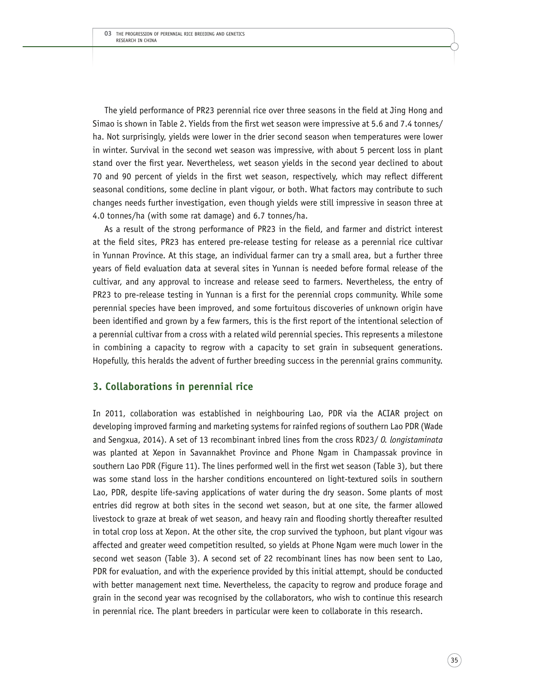The yield performance of PR23 perennial rice over three seasons in the field at Jing Hong and Simao is shown in Table 2. Yields from the first wet season were impressive at 5.6 and 7.4 tonnes/ ha. Not surprisingly, yields were lower in the drier second season when temperatures were lower in winter. Survival in the second wet season was impressive, with about 5 percent loss in plant stand over the first year. Nevertheless, wet season yields in the second year declined to about 70 and 90 percent of yields in the first wet season, respectively, which may reflect different seasonal conditions, some decline in plant vigour, or both. What factors may contribute to such changes needs further investigation, even though yields were still impressive in season three at 4.0 tonnes/ha (with some rat damage) and 6.7 tonnes/ha.

As a result of the strong performance of PR23 in the field, and farmer and district interest at the field sites, PR23 has entered pre-release testing for release as a perennial rice cultivar in Yunnan Province. At this stage, an individual farmer can try a small area, but a further three years of field evaluation data at several sites in Yunnan is needed before formal release of the cultivar, and any approval to increase and release seed to farmers. Nevertheless, the entry of PR23 to pre-release testing in Yunnan is a first for the perennial crops community. While some perennial species have been improved, and some fortuitous discoveries of unknown origin have been identified and grown by a few farmers, this is the first report of the intentional selection of a perennial cultivar from a cross with a related wild perennial species. This represents a milestone in combining a capacity to regrow with a capacity to set grain in subsequent generations. Hopefully, this heralds the advent of further breeding success in the perennial grains community.

#### **3. Collaborations in perennial rice**

In 2011, collaboration was established in neighbouring Lao, PDR via the ACIAR project on developing improved farming and marketing systems for rainfed regions of southern Lao PDR (Wade and Sengxua, 2014). A set of 13 recombinant inbred lines from the cross RD23/ *O. longistaminata* was planted at Xepon in Savannakhet Province and Phone Ngam in Champassak province in southern Lao PDR (Figure 11). The lines performed well in the first wet season (Table 3), but there was some stand loss in the harsher conditions encountered on light-textured soils in southern Lao, PDR, despite life-saving applications of water during the dry season. Some plants of most entries did regrow at both sites in the second wet season, but at one site, the farmer allowed livestock to graze at break of wet season, and heavy rain and flooding shortly thereafter resulted in total crop loss at Xepon. At the other site, the crop survived the typhoon, but plant vigour was affected and greater weed competition resulted, so yields at Phone Ngam were much lower in the second wet season (Table 3). A second set of 22 recombinant lines has now been sent to Lao, PDR for evaluation, and with the experience provided by this initial attempt, should be conducted with better management next time. Nevertheless, the capacity to regrow and produce forage and grain in the second year was recognised by the collaborators, who wish to continue this research in perennial rice. The plant breeders in particular were keen to collaborate in this research.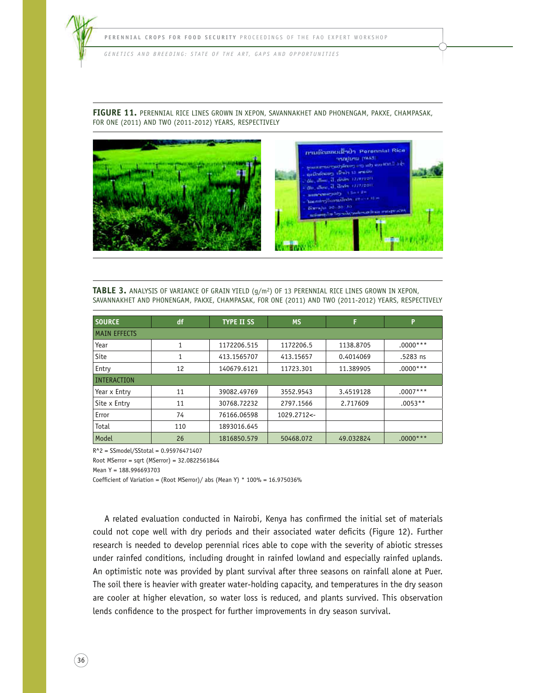

**FIGURE 11.** PERENNIAL RICE LINES GROWN IN XEPON, SAVANNAKHET AND PHONENGAM, PAKXE, CHAMPASAK, FOR ONE (2011) AND TWO (2011-2012) YEARS, RESPECTIVELY



**TABLE 3.** ANALYSIS OF VARIANCE OF GRAIN YIELD (g/m<sup>2</sup> ) OF 13 PERENNIAL RICE LINES GROWN IN XEPON, SAVANNAKHET AND PHONENGAM, PAKXE, CHAMPASAK, FOR ONE (2011) AND TWO (2011-2012) YEARS, RESPECTIVELY

| <b>SOURCE</b>       | df  | <b>TYPE II SS</b> | <b>MS</b>    | F         | P          |  |  |  |  |
|---------------------|-----|-------------------|--------------|-----------|------------|--|--|--|--|
| <b>MAIN EFFECTS</b> |     |                   |              |           |            |  |  |  |  |
| Year                | 1   | 1172206.515       | 1172206.5    | 1138.8705 | $.0000***$ |  |  |  |  |
| Site                | 1   | 413.1565707       | 413.15657    | 0.4014069 | .5283 ns   |  |  |  |  |
| Entry               | 12  | 140679.6121       | 11723.301    | 11.389905 | $.0000***$ |  |  |  |  |
| <b>INTERACTION</b>  |     |                   |              |           |            |  |  |  |  |
| Year x Entry        | 11  | 39082.49769       | 3552.9543    | 3.4519128 | $.0007***$ |  |  |  |  |
| Site x Entry        | 11  | 30768.72232       | 2797.1566    | 2.717609  | $.0053**$  |  |  |  |  |
| Error               | 74  | 76166.06598       | 1029.2712 <- |           |            |  |  |  |  |
| Total               | 110 | 1893016.645       |              |           |            |  |  |  |  |
| Model               | 26  | 1816850.579       | 50468.072    | 49.032824 | $.0000***$ |  |  |  |  |

R^2 = SSmodel/SStotal = 0.95976471407

Root MSerror = sqrt (MSerror) = 32.0822561844

Mean Y = 188.996693703

 $36$ 

Coefficient of Variation = (Root MSerror)/ abs (Mean Y) \*  $100\% = 16.975036\%$ 

A related evaluation conducted in Nairobi, Kenya has confirmed the initial set of materials could not cope well with dry periods and their associated water deficits (Figure 12). Further research is needed to develop perennial rices able to cope with the severity of abiotic stresses under rainfed conditions, including drought in rainfed lowland and especially rainfed uplands. An optimistic note was provided by plant survival after three seasons on rainfall alone at Puer. The soil there is heavier with greater water-holding capacity, and temperatures in the dry season are cooler at higher elevation, so water loss is reduced, and plants survived. This observation lends confidence to the prospect for further improvements in dry season survival.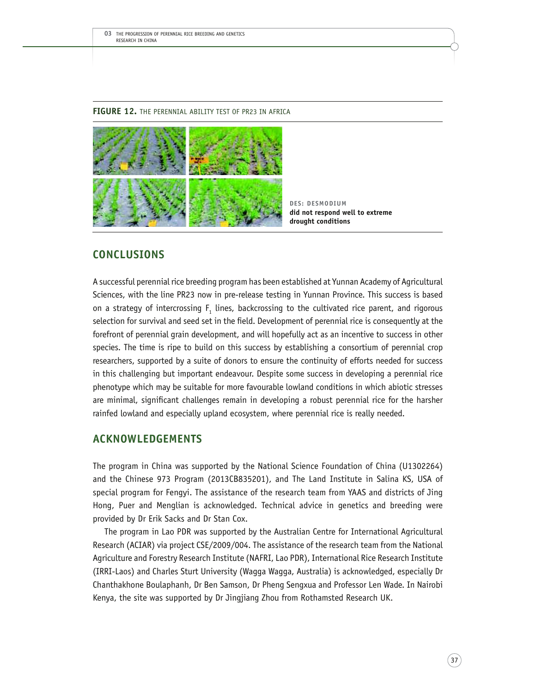#### **FIGURE 12.** THE PERENNIAL ABILITY TEST OF PR23 IN AFRICA



**DES: DESMODIUM did not respond well to extreme drought conditions**

# **CONCLUSIONS**

A successful perennial rice breeding program has been established at Yunnan Academy of Agricultural Sciences, with the line PR23 now in pre-release testing in Yunnan Province. This success is based on a strategy of intercrossing  $F_1$  lines, backcrossing to the cultivated rice parent, and rigorous selection for survival and seed set in the field. Development of perennial rice is consequently at the forefront of perennial grain development, and will hopefully act as an incentive to success in other species. The time is ripe to build on this success by establishing a consortium of perennial crop researchers, supported by a suite of donors to ensure the continuity of efforts needed for success in this challenging but important endeavour. Despite some success in developing a perennial rice phenotype which may be suitable for more favourable lowland conditions in which abiotic stresses are minimal, significant challenges remain in developing a robust perennial rice for the harsher rainfed lowland and especially upland ecosystem, where perennial rice is really needed.

# **ACKNOWLEDGEMENTS**

The program in China was supported by the National Science Foundation of China (U1302264) and the Chinese 973 Program (2013CB835201), and The Land Institute in Salina KS, USA of special program for Fengyi. The assistance of the research team from YAAS and districts of Jing Hong, Puer and Menglian is acknowledged. Technical advice in genetics and breeding were provided by Dr Erik Sacks and Dr Stan Cox.

The program in Lao PDR was supported by the Australian Centre for International Agricultural Research (ACIAR) via project CSE/2009/004. The assistance of the research team from the National Agriculture and Forestry Research Institute (NAFRI, Lao PDR), International Rice Research Institute (IRRI-Laos) and Charles Sturt University (Wagga Wagga, Australia) is acknowledged, especially Dr Chanthakhone Boulaphanh, Dr Ben Samson, Dr Pheng Sengxua and Professor Len Wade. In Nairobi Kenya, the site was supported by Dr Jingjiang Zhou from Rothamsted Research UK.

 $(37)$